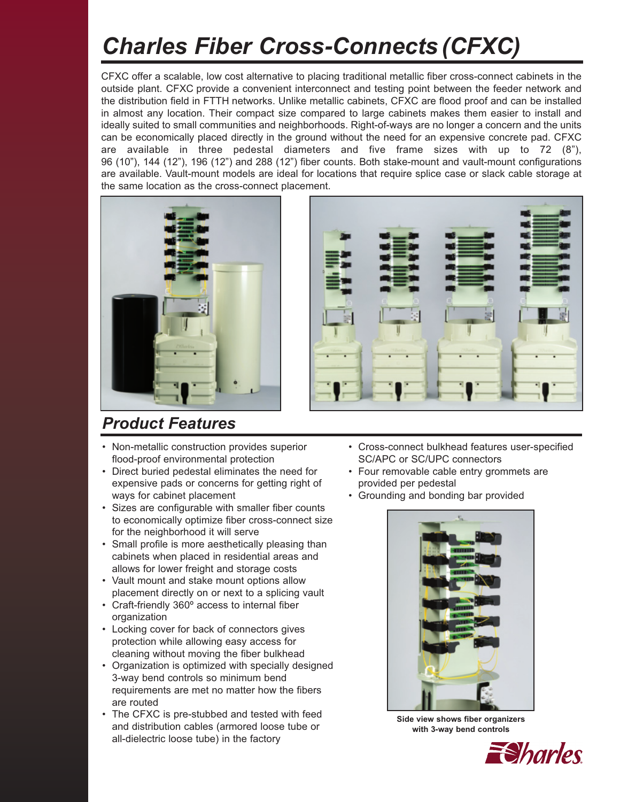# *Charles Fiber Cross-Connects (CFXC)*

CFXC offer a scalable, low cost alternative to placing traditional metallic fiber cross-connect cabinets in the outside plant. CFXC provide a convenient interconnect and testing point between the feeder network and the distribution field in FTTH networks. Unlike metallic cabinets, CFXC are flood proof and can be installed in almost any location. Their compact size compared to large cabinets makes them easier to install and ideally suited to small communities and neighborhoods. Right-of-ways are no longer a concern and the units can be economically placed directly in the ground without the need for an expensive concrete pad. CFXC are available in three pedestal diameters and five frame sizes with up to 72 (8"), 96 (10"), 144 (12"), 196 (12") and 288 (12") fiber counts. Both stake-mount and vault-mount configurations are available. Vault-mount models are ideal for locations that require splice case or slack cable storage at the same location as the cross-connect placement.





### *Product Features*

- Non-metallic construction provides superior flood-proof environmental protection
- Direct buried pedestal eliminates the need for expensive pads or concerns for getting right of ways for cabinet placement
- Sizes are configurable with smaller fiber counts to economically optimize fiber cross-connect size for the neighborhood it will serve
- Small profile is more aesthetically pleasing than cabinets when placed in residential areas and allows for lower freight and storage costs
- Vault mount and stake mount options allow placement directly on or next to a splicing vault
- Craft-friendly 360º access to internal fiber organization
- Locking cover for back of connectors gives protection while allowing easy access for cleaning without moving the fiber bulkhead
- Organization is optimized with specially designed 3-way bend controls so minimum bend requirements are met no matter how the fibers are routed
- The CFXC is pre-stubbed and tested with feed and distribution cables (armored loose tube or all-dielectric loose tube) in the factory
- Cross-connect bulkhead features user-specified SC/APC or SC/UPC connectors
- Four removable cable entry grommets are provided per pedestal
- Grounding and bonding bar provided



**Side view shows fiber organizers with 3-way bend controls**